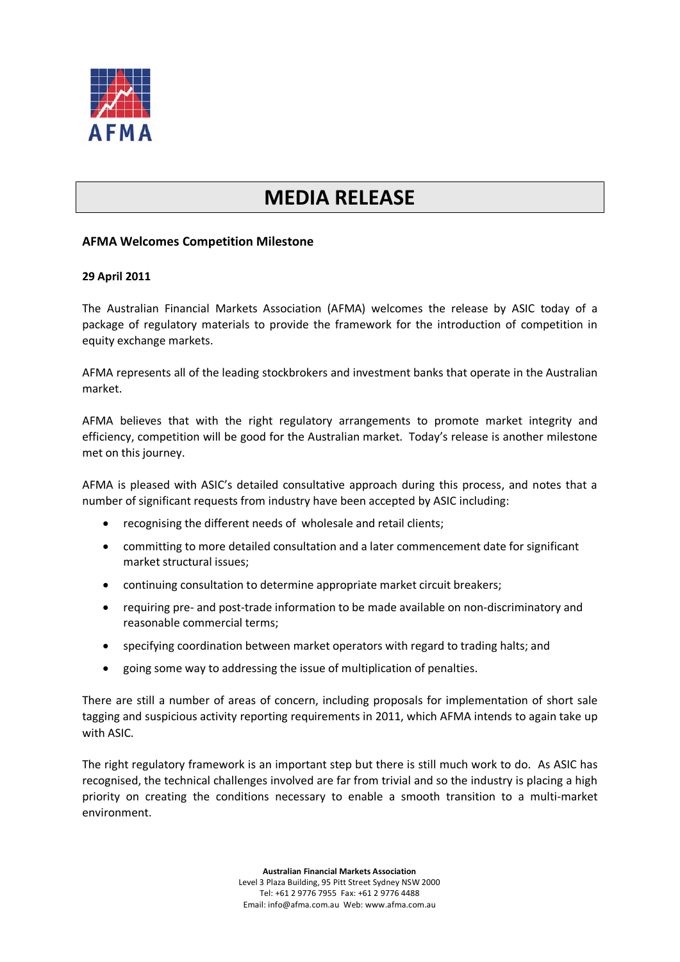

## **MEDIA RELEASE**

## **AFMA Welcomes Competition Milestone**

## **29 April 2011**

The Australian Financial Markets Association (AFMA) welcomes the release by ASIC today of a package of regulatory materials to provide the framework for the introduction of competition in equity exchange markets.

AFMA represents all of the leading stockbrokers and investment banks that operate in the Australian market.

AFMA believes that with the right regulatory arrangements to promote market integrity and efficiency, competition will be good for the Australian market. Today's release is another milestone met on this journey.

AFMA is pleased with ASIC's detailed consultative approach during this process, and notes that a number of significant requests from industry have been accepted by ASIC including:

- recognising the different needs of wholesale and retail clients;
- committing to more detailed consultation and a later commencement date for significant market structural issues;
- continuing consultation to determine appropriate market circuit breakers;
- requiring pre- and post-trade information to be made available on non-discriminatory and reasonable commercial terms;
- specifying coordination between market operators with regard to trading halts; and
- going some way to addressing the issue of multiplication of penalties.

There are still a number of areas of concern, including proposals for implementation of short sale tagging and suspicious activity reporting requirements in 2011, which AFMA intends to again take up with ASIC.

The right regulatory framework is an important step but there is still much work to do. As ASIC has recognised, the technical challenges involved are far from trivial and so the industry is placing a high priority on creating the conditions necessary to enable a smooth transition to a multi-market environment.

> **Australian Financial Markets Association** Level 3 Plaza Building, 95 Pitt Street Sydney NSW 2000 Tel: +61 2 9776 7955 Fax: +61 2 9776 4488 Email: info@afma.com.au Web: www.afma.com.au